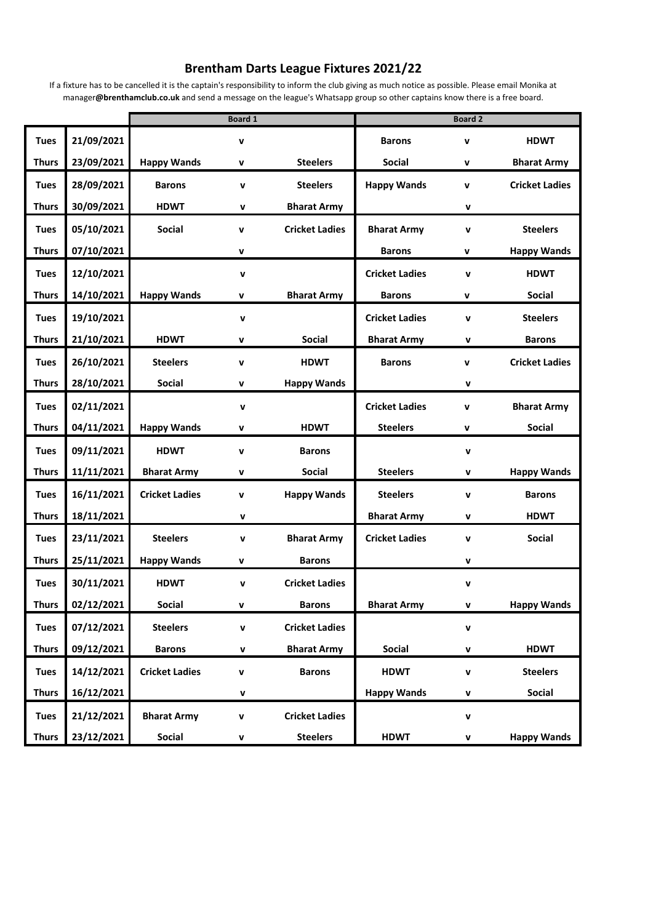## **Brentham Darts League Fixtures 2021/22**

If a fixture has to be cancelled it is the captain's responsibility to inform the club giving as much notice as possible. Please email Monika at manager**@brenthamclub.co.uk** and send a message on the league's Whatsapp group so other captains know there is a free board.

|              |            |                       | <b>Board 1</b>     |                       |                       | <b>Board 2</b> |                       |
|--------------|------------|-----------------------|--------------------|-----------------------|-----------------------|----------------|-----------------------|
| <b>Tues</b>  | 21/09/2021 |                       | V                  |                       | <b>Barons</b>         | v              | <b>HDWT</b>           |
| <b>Thurs</b> | 23/09/2021 | <b>Happy Wands</b>    | V                  | <b>Steelers</b>       | <b>Social</b>         | V              | <b>Bharat Army</b>    |
| <b>Tues</b>  | 28/09/2021 | <b>Barons</b>         | $\mathbf v$        | <b>Steelers</b>       | <b>Happy Wands</b>    | v              | <b>Cricket Ladies</b> |
| <b>Thurs</b> | 30/09/2021 | <b>HDWT</b>           | v                  | <b>Bharat Army</b>    |                       | $\mathbf v$    |                       |
| <b>Tues</b>  | 05/10/2021 | <b>Social</b>         | v                  | <b>Cricket Ladies</b> | <b>Bharat Army</b>    | $\mathbf v$    | <b>Steelers</b>       |
| <b>Thurs</b> | 07/10/2021 |                       | V                  |                       | <b>Barons</b>         | V              | <b>Happy Wands</b>    |
| <b>Tues</b>  | 12/10/2021 |                       | $\mathbf v$        |                       | <b>Cricket Ladies</b> | $\mathbf v$    | <b>HDWT</b>           |
| <b>Thurs</b> | 14/10/2021 | <b>Happy Wands</b>    | V                  | <b>Bharat Army</b>    | <b>Barons</b>         | v              | <b>Social</b>         |
| <b>Tues</b>  | 19/10/2021 |                       | v                  |                       | <b>Cricket Ladies</b> | v              | <b>Steelers</b>       |
| <b>Thurs</b> | 21/10/2021 | <b>HDWT</b>           | V                  | <b>Social</b>         | <b>Bharat Army</b>    | v              | <b>Barons</b>         |
| <b>Tues</b>  | 26/10/2021 | <b>Steelers</b>       | v                  | <b>HDWT</b>           | <b>Barons</b>         | v              | <b>Cricket Ladies</b> |
| <b>Thurs</b> | 28/10/2021 | <b>Social</b>         | V                  | <b>Happy Wands</b>    |                       | v              |                       |
| <b>Tues</b>  | 02/11/2021 |                       | $\mathbf v$        |                       | <b>Cricket Ladies</b> | $\mathbf{v}$   | <b>Bharat Army</b>    |
| <b>Thurs</b> | 04/11/2021 | <b>Happy Wands</b>    | V                  | <b>HDWT</b>           | <b>Steelers</b>       | V              | Social                |
| <b>Tues</b>  | 09/11/2021 | <b>HDWT</b>           | v                  | <b>Barons</b>         |                       | v              |                       |
| <b>Thurs</b> | 11/11/2021 | <b>Bharat Army</b>    | v                  | <b>Social</b>         | <b>Steelers</b>       | v              | <b>Happy Wands</b>    |
| <b>Tues</b>  | 16/11/2021 | <b>Cricket Ladies</b> | V                  | <b>Happy Wands</b>    | <b>Steelers</b>       | $\mathbf{v}$   | <b>Barons</b>         |
| <b>Thurs</b> | 18/11/2021 |                       | v                  |                       | <b>Bharat Army</b>    | v              | <b>HDWT</b>           |
| <b>Tues</b>  | 23/11/2021 | <b>Steelers</b>       | v                  | <b>Bharat Army</b>    | <b>Cricket Ladies</b> | $\mathbf v$    | <b>Social</b>         |
| <b>Thurs</b> | 25/11/2021 | <b>Happy Wands</b>    | V                  | <b>Barons</b>         |                       | v              |                       |
| <b>Tues</b>  | 30/11/2021 | <b>HDWT</b>           | $\mathbf v$        | <b>Cricket Ladies</b> |                       | $\mathbf v$    |                       |
| <b>Thurs</b> | 02/12/2021 | <b>Social</b>         |                    | <b>Barons</b>         | <b>Bharat Army</b>    | v              | <b>Happy Wands</b>    |
| <b>Tues</b>  | 07/12/2021 | <b>Steelers</b>       | $\pmb{\mathsf{v}}$ | <b>Cricket Ladies</b> |                       | v              |                       |
| <b>Thurs</b> | 09/12/2021 | <b>Barons</b>         | v                  | <b>Bharat Army</b>    | Social                | v              | <b>HDWT</b>           |
| <b>Tues</b>  | 14/12/2021 | <b>Cricket Ladies</b> | V                  | <b>Barons</b>         | <b>HDWT</b>           | v              | <b>Steelers</b>       |
| <b>Thurs</b> | 16/12/2021 |                       | v                  |                       | <b>Happy Wands</b>    | v              | <b>Social</b>         |
| <b>Tues</b>  | 21/12/2021 | <b>Bharat Army</b>    | V                  | <b>Cricket Ladies</b> |                       | v              |                       |
| <b>Thurs</b> | 23/12/2021 | <b>Social</b>         | v                  | <b>Steelers</b>       | <b>HDWT</b>           | v              | <b>Happy Wands</b>    |